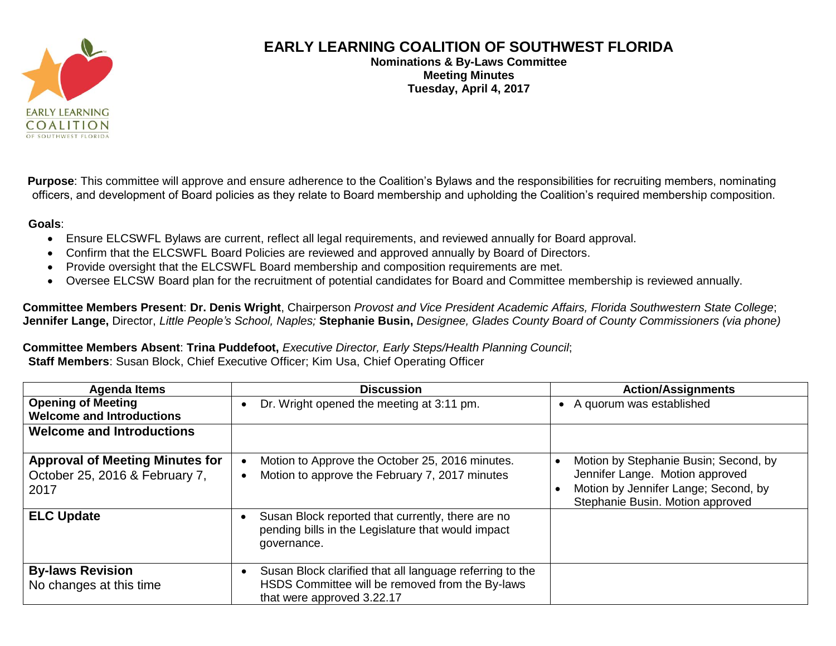

## **EARLY LEARNING COALITION OF SOUTHWEST FLORIDA**

**Nominations & By-Laws Committee Meeting Minutes Tuesday, April 4, 2017**

**Purpose**: This committee will approve and ensure adherence to the Coalition's Bylaws and the responsibilities for recruiting members, nominating officers, and development of Board policies as they relate to Board membership and upholding the Coalition's required membership composition.

## **Goals**:

- Ensure ELCSWFL Bylaws are current, reflect all legal requirements, and reviewed annually for Board approval.
- Confirm that the ELCSWFL Board Policies are reviewed and approved annually by Board of Directors.
- Provide oversight that the ELCSWFL Board membership and composition requirements are met.
- Oversee ELCSW Board plan for the recruitment of potential candidates for Board and Committee membership is reviewed annually.

**Committee Members Present**: **Dr. Denis Wright**, Chairperson *Provost and Vice President Academic Affairs, Florida Southwestern State College*; **Jennifer Lange,** Director, *Little People's School, Naples;* **Stephanie Busin,** *Designee, Glades County Board of County Commissioners (via phone)*

**Committee Members Absent**: **Trina Puddefoot,** *Executive Director, Early Steps/Health Planning Council*; **Staff Members**: Susan Block, Chief Executive Officer; Kim Usa, Chief Operating Officer

| <b>Agenda Items</b>                                                              | <b>Discussion</b>                                                                                                                         | <b>Action/Assignments</b>                                                                                                                            |
|----------------------------------------------------------------------------------|-------------------------------------------------------------------------------------------------------------------------------------------|------------------------------------------------------------------------------------------------------------------------------------------------------|
| <b>Opening of Meeting</b><br><b>Welcome and Introductions</b>                    | Dr. Wright opened the meeting at 3:11 pm.                                                                                                 | • A quorum was established                                                                                                                           |
| <b>Welcome and Introductions</b>                                                 |                                                                                                                                           |                                                                                                                                                      |
| <b>Approval of Meeting Minutes for</b><br>October 25, 2016 & February 7,<br>2017 | Motion to Approve the October 25, 2016 minutes.<br>Motion to approve the February 7, 2017 minutes                                         | Motion by Stephanie Busin; Second, by<br>Jennifer Lange. Motion approved<br>Motion by Jennifer Lange; Second, by<br>Stephanie Busin. Motion approved |
| <b>ELC Update</b>                                                                | Susan Block reported that currently, there are no<br>pending bills in the Legislature that would impact<br>governance.                    |                                                                                                                                                      |
| <b>By-laws Revision</b><br>No changes at this time                               | Susan Block clarified that all language referring to the<br>HSDS Committee will be removed from the By-laws<br>that were approved 3.22.17 |                                                                                                                                                      |